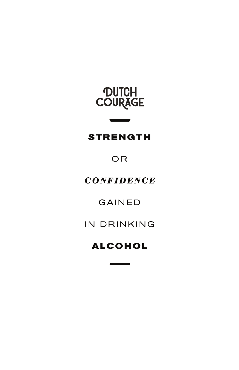

#### **STRENGTH**

 $\overline{\phantom{a}}$ 

#### OR

#### **CONFIDENCE**

#### **GAINED**

#### IN DRINKING

### **ALCOHOL**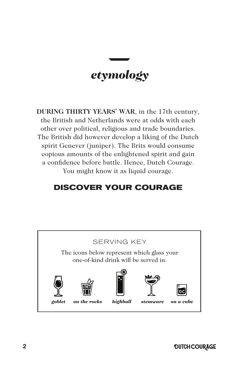### *etymology*

**DURING THIRTY YEARS' WAR**, in the 17th century, the British and Netherlands were at odds with each other over political, religious and trade boundaries. The British did however develop a liking of the Dutch spirit Genever (juniper). The Brits would consume copious amounts of the enlightened spirit and gain a confidence before battle. Hence, Dutch Courage. You might know it as liquid courage.

#### **DISCOVER YOUR COURAGE**

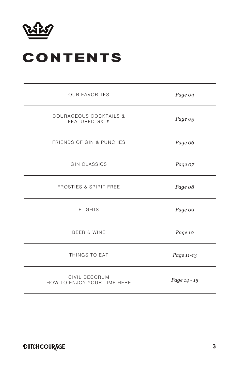

### **CONTENTS**

| <b>OUR FAVORITES</b>                                          | Page 04      |
|---------------------------------------------------------------|--------------|
| <b>COURAGEOUS COCKTAILS &amp;</b><br><b>FEATURED G&amp;TS</b> | Page 05      |
| FRIENDS OF GIN & PUNCHES                                      | Page 06      |
| <b>GIN CLASSICS</b>                                           | Page 07      |
| <b>FROSTIES &amp; SPIRIT FREE</b>                             | Page 08      |
| <b>FLIGHTS</b>                                                | Page 09      |
| <b>BEER &amp; WINE</b>                                        | Page 10      |
| THINGS TO EAT                                                 | Page 11-13   |
| CIVIL DECORUM<br>HOW TO ENJOY YOUR TIME HERE                  | Page 14 - 15 |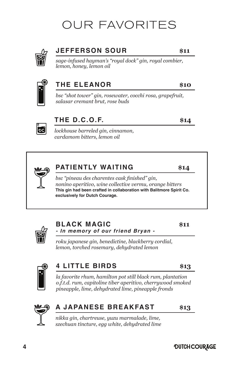### OUR FAVORITES



#### **JEFFERSON SOUR \$11**

*sage-infused hayman's "royal dock" gin, royal combier, lemon, honey, lemon oil* 



#### **THE ELEANOR \$10**

*bsc "shot tower" gin, rosewater, cocchi rosa, grapefruit, salasar cremant brut, rose buds* 



#### **THE D.C.O.F. \$14**

*lockhouse barreled gin, cinnamon, cardamom bitters, lemon oil*

#### **PATIENTLY WAITING \$14**

*bsc "pineau des charentes cask finished" gin, nonino aperitivo, wine collective vermu, orange bitters*  **This gin had been crafted in collaboration with Balitmore Spirit Co. exclusively for Dutch Courage.**



#### **BLACK MAGIC** \$11 **- In memory of our friend Bryan -**

*roku japanese gin, benedictine, blackberry cordial, lemon, torched rosemary, dehydrated lemon* 



#### **4 LITTLE BIRDS \$13**

*la favorite rhum, hamilton pot still black rum, plantation o.f.t.d. rum, capitoline tiber aperitivo, cherrywood smoked pineapple, lime, dehydrated lime, pineapple fronds*



#### **A JAPANESE BREAKFAST \$13**

*nikka gin, chartreuse, yuzu marmalade, lime, szechuan tincture, egg white, dehydrated lime* 



**4**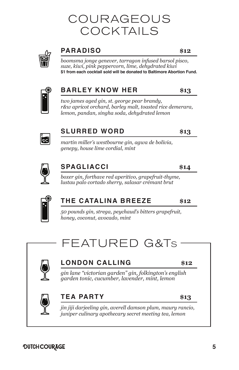### COURAGEOUS COCKTAILS



#### **PARADISO \$12**

*boomsma jonge genever, tarragon infused barsol pisco, suze, kiwi, pink peppercorn, lime, dehydrated kiwi* **\$1 from each cocktail sold will be donated to Baltimore Abortion Fund.**



#### **BARLEY KNOW HER \$13**

*two james aged gin, st. george pear brandy, r&w apricot orchard, barley malt, toasted rice demerara, lemon, pandan, singha soda, dehydrated lemon* 



#### **SLURRED WORD \$13**

*martin miller's westbourne gin, agwa de bolivia, genepy, house lime cordial, mint*



#### **SPAGLIACCI \$14**

*boxer gin, forthave red aperitivo, grapefruit-thyme, lustau palo cortado sherry, salasar crémant brut* 



#### **THE CATALINA BREEZE \$12**

*50 pounds gin, strega, peychaud's bitters grapefruit, honey, coconut, avocado, mint*

FEATURED G&Ts



#### **LONDON CALLING \$12**

*gin lane "victorian garden" gin, folkington's english garden tonic, cucumber, lavender, mint, lemon*

#### **TEA PARTY \$13**

*jin jiji darjeeling gin, averell damson plum, maury rancio, juniper culinary apothecary secret meeting tea, lemon*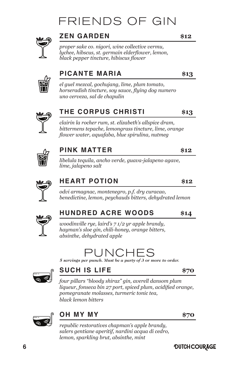### FRIENDS OF GIN



#### **ZEN GARDEN \$12**

*proper sake co. nigori, wine collective vermu, lychee, hibscus, st. germain elderflower, lemon, black pepper tincture, hibiscus flower*



#### **PICANTE MARIA \$13**

*el guel mezcal, gochujang, lime, plum tomato, horseradish tincture, soy sauce, flying dog numero uno cerveza, sal de chapulin* 



#### **THE CORPUS CHRISTI \$13**

*clairin la rocher rum, st. elizabeth's allspice dram, bittermens tepache, lemongrass tincture, lime, orange flower water, aquafaba, blue spirulina, nutmeg* 



#### **PINK MATTER \$12**

*libelula tequila, ancho verde, guava-jalapeno agave, lime, jalapeno salt*



#### **HEART POTION \$12**

*odvi armagnac, montenegro, p.f. dry curacao, benedictine, lemon, peychauds bitters, dehydrated lemon*



#### **HUNDRED ACRE WOODS \$14**

*woodinville rye, laird's 7 1/2 yr apple brandy, hayman's sloe gin, chili-honey, orange bitters, absinthe, dehydrated apple*

### PUNCHE

*5 servings per punch. Must be a party of 3 or more to order.*



#### **SUCH IS LIFE \$70**

*four pillars "bloody shiraz" gin, averell dansom plum liqueur, fonseca bin 27 port, spiced plum, acidified orange, pomegranate molasses, turmeric tonic tea, black lemon bitters* 



#### **OH MY MY \$70**

*republic restoratives chapman's apple brandy, salers gentiane aperitif, nardini acqua di cedro, lemon, sparkling brut, absinthe, mint*

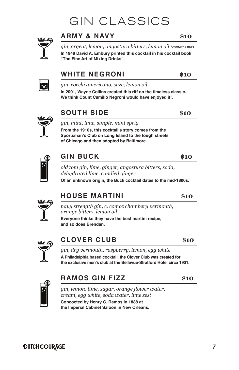### GIN CLASSICS



#### **ARMY & NAVY \$10**

*gin, orgeat, lemon, angostura bitters, lemon oil \*contains nuts* **In 1948 David A. Embury printed this cocktail in his cocktail book "The Fine Art of Mixing Drinks".**

#### **WHITE NEGRONI \$10**

*gin, cocchi americano, suze, lemon oil* 

**In 2001, Wayne Collins created this riff on the timeless classic. We think Count Camillo Negroni would have enjoyed it!.** 



ФĆ

#### **SOUTH SIDE \$10**

#### *gin, mint, lime, simple, mint sprig*

**From the 1910s, this cocktail's story comes from the Sportsman's Club on Long Island to the tough streets of Chicago and then adopted by Baltimore.** 



#### **GIN BUCK \$10**

*old tom gin, lime, ginger, angostura bitters, soda, dehydrated lime, candied ginger* 

**Of an unknown origin, the Buck cocktail dates to the mid-1800s.** 



#### **HOUSE MARTINI \$10**

*navy strength gin, c. comoz chambery vermouth, orange bitters, lemon oil* **Everyone thinks they have the best martini recipe,**

**and so does Brendan.** 



#### **CLOVER CLUB \$10**

*gin, dry vermouth, raspberry, lemon, egg white*  **A Philadelphia based cocktail, the Clover Club was created for the exclusive men's club at the Bellevue-Stratford Hotel circa 1901.**



#### **RAMOS GIN FIZZ \$10**

*gin, lemon, lime, sugar, orange flower water, cream, egg white, soda water, lime zest* **Concocted by Henry C. Ramos in 1888 at the Imperial Cabinet Saloon in New Orleans.**

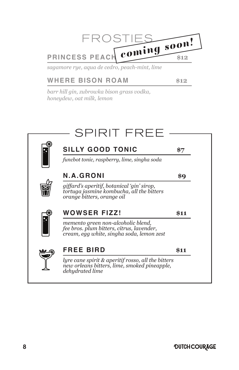

*sagamore rye, aqua de cedro, peach-mint, lime*

#### **WHERE BISON ROAM \$12**

*barr hill gin, zubrowka bison grass vodka, honeydew, oat milk, lemon*

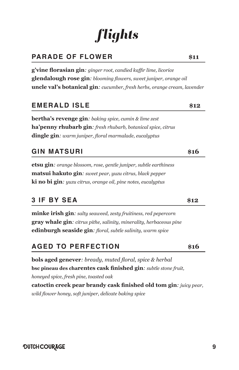## *flights*

#### **PARADE OF FLOWER** \$11

**g'vine florasian gin***: ginger root, candied kaffir lime, licorice* **glendalough rose gin***: blooming flowers, sweet juniper, orange oil*  **uncle val's botanical gin***: cucumber, fresh herbs, orange cream, lavender* 

#### **EMERALD ISLE \$12**

**bertha's revenge gin***: baking spice, cumin & lime zest* **ha'penny rhubarb gin***: fresh rhubarb, botanical spice, citrus* **dingle gin***: warm juniper, floral marmalade, eucalyptus*

#### **GIN MATSURI \$16**

**etsu gin***: orange blossom, rose, gentle juniper, subtle earthiness* **matsui hakuto gin***: sweet pear, yuzu citrus, black pepper* **ki no bi gin***: yuzu citrus, orange oil, pine notes, eucalyptus* 

#### **3 IF BY SEA \$12**

**minke irish gin***: salty seaweed, zesty fruitiness, red pepercorn* **gray whale gin***: citrus pithe, salinity, minerality, herbaceous pine* **edinburgh seaside gin***: floral, subtle salinity, warm spice*

#### **AGED TO PERFECTION \$16**

**bols aged genever***: bready, muted floral, spice & herbal* **bsc pineau des charentes cask finished gin***: subtle stone fruit, honeyed spice, fresh pine, toasted oak* **catoctin creek pear brandy cask finished old tom gin***: juicy pear, wild flower honey, soft juniper, delicate baking spice*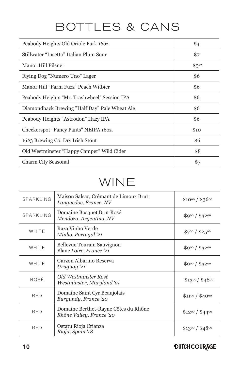### BOTTLES & CANS

| Peabody Heights Old Oriole Park 160z.         | \$4       |
|-----------------------------------------------|-----------|
| Stillwater "Insetto" Italian Plum Sour        | \$7       |
| Manor Hill Pilsner                            | $$5^{50}$ |
| Flying Dog "Numero Uno" Lager                 | \$6       |
| Manor Hill "Farm Fuzz" Peach Witbier          | \$6       |
| Peabody Heights "Mr. Trashwheel" Session IPA  | \$6       |
| Diamondback Brewing "Half Day" Pale Wheat Ale | \$6       |
| Peabody Heights "Astrodon" Hazy IPA           | \$6       |
| Checkerspot "Fancy Pants" NEIPA 160z.         | \$10      |
| 1623 Brewing Co. Dry Irish Stout              | \$6       |
| Old Westminster "Happy Camper" Wild Cider     | \$8       |
| Charm City Seasonal                           | \$7       |

### WINE

| SPARKLING  | Maison Salsar, Crémant de Limoux Brut<br>Languedoc, France, NV   | $$10^{00} / $36^{00}$ |
|------------|------------------------------------------------------------------|-----------------------|
| SPARKLING  | Domaine Bosquet Brut Rosé<br>Mendoza, Argentina, NV              | $$9^{00}/$32^{00}$    |
| WHITE      | Raza Vinho Verde<br>Minho, Portugal '21                          | $$7^{00}/$2,5^{00}$   |
| WHITE      | Bellevue Tourain Sauvignon<br>Blanc Loire, France 21             | $$9^{00}/$32^{00}$    |
| WHITE      | Garzon Albarino Reserva<br>Uruguay '21                           | $$9^{00}/$32^{00}$    |
| ROSÉ       | Old Westminster Rosé<br>Westminster, Maryland '21                | $$13^{00}/$48^{00}$   |
| <b>RED</b> | Domaine Saint Cyr Beaujolais<br>Burgundy, France '20             | $$11^{00}/$40^{00}$   |
| <b>RED</b> | Domaine Berthet-Rayne Côtes du Rhône<br>Rhône Valley, France '20 | $$12^{00} / $44^{00}$ |
| <b>RED</b> | Ostatu Rioja Crianza<br>Rioja, Spain '18                         | $$13^{00}/$48^{00}$   |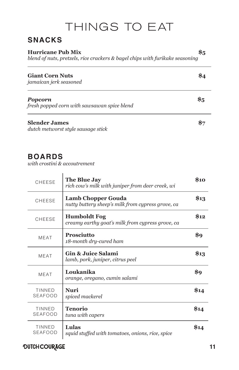### THINGS TO EAT

#### **SNACKS**

| <b>Hurricane Pub Mix</b><br>blend of nuts, pretzels, rice crackers & bagel chips with furikake seasoning | 85 |
|----------------------------------------------------------------------------------------------------------|----|
| <b>Giant Corn Nuts</b><br>jamaican jerk seasoned                                                         |    |
| <b>Popcorn</b><br>fresh popped corn with sawsawan spice blend                                            | 85 |
| <b>Slender James</b><br>dutch metworst style sausage stick                                               |    |

#### **BOARDS**

*with crostini & accoutrement*

| CHEESE                          | The Blue Jay<br>rich cow's milk with juniper from deer creek, wi        | <b>\$10</b> |
|---------------------------------|-------------------------------------------------------------------------|-------------|
| CHEESE                          | Lamb Chopper Gouda<br>nutty buttery sheep's milk from cypress grove, ca | \$13        |
| CHEESE                          | <b>Humboldt Fog</b><br>creamy earthy goat's milk from cypress grove, ca | \$12        |
| <b>MEAT</b>                     | <b>Prosciutto</b><br>18-month dry-cured ham                             | \$9         |
| <b>MEAT</b>                     | Gin & Juice Salami<br>lamb, pork, juniper, citrus peel                  | \$13        |
| <b>MEAT</b>                     | Loukanika<br>orange, oregano, cumin salami                              | \$9         |
| TINNED<br><b>SEAFOOD</b>        | Nuri<br>spiced mackerel                                                 | \$14        |
| <b>TINNED</b><br><b>SEAFOOD</b> | Tenorio<br>tuna with capers                                             | \$14        |
| TINNED<br>SEAFOOD               | Lulas<br>squid stuffed with tomatoes, onions, rice, spice               | \$14        |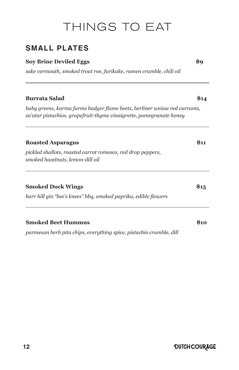### THINGS TO EAT

#### **SMALL PLATES**

#### **Soy Brine Deviled Eggs \$9**

*sake vermouth, smoked trout roe, furikake, ramen crumble, chili oil*

#### **Burrata Salad \$14**

*baby greens, karma farms badger flame beets, berliner weisse red currants, za'atar pistachios, grapefruit-thyme vinaigrette, pomegranate honey*

#### **Roasted Asparagus \$11**

*pickled shallots, roasted carrot romesco, red drop peppers, smoked hazelnuts, lemon-dill oil*

| <b>Smoked Duck Wings</b>                                        | \$15 |
|-----------------------------------------------------------------|------|
| barr hill gin "bee's knees" bbg, smoked paprika, edible flowers |      |
|                                                                 |      |

### **Smoked Beet Hummus \$10**

*parmesan herb pita chips, everything spice, pistachio crumble, dill*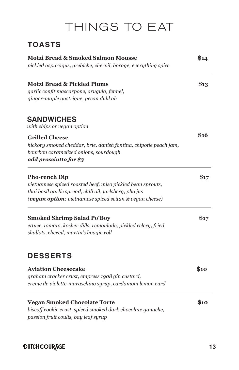### THINGS TO EAT

#### **TOASTS**

| <b>Motzi Bread &amp; Smoked Salmon Mousse</b><br>pickled asparagus, grebiche, chervil, borage, everything spice |      |
|-----------------------------------------------------------------------------------------------------------------|------|
| <b>Motzi Bread &amp; Pickled Plums</b>                                                                          | \$13 |
| garlic confit mascarpone, arugula, fennel,<br>ginger-maple gastrique, pecan dukkah                              |      |
| <b>SANDWICHES</b>                                                                                               |      |
| with chips or vegan option                                                                                      |      |
| <b>Grilled Cheese</b>                                                                                           | \$16 |
| hickory smoked cheddar, brie, danish fontina, chipotle peach jam,                                               |      |
| bourbon caramelized onions, sourdough<br>add prosciutto for \$3                                                 |      |
|                                                                                                                 |      |
| <b>Pho-rench Dip</b>                                                                                            | \$17 |
| vietnamese spiced roasted beef, miso pickled bean sprouts,                                                      |      |
| thai basil garlic spread, chili oil, jarlsberg, pho jus                                                         |      |
| <b>(vegan option:</b> vietnamese spiced seitan & vegan cheese)                                                  |      |
| <b>Smoked Shrimp Salad Po'Boy</b>                                                                               | \$17 |
| ettuce, tomato, kosher dills, remoulade, pickled celery, fried                                                  |      |
| shallots, chervil, martin's hoagie roll                                                                         |      |
| <b>DESSERTS</b>                                                                                                 |      |
|                                                                                                                 |      |
| <b>Aviation Cheesecake</b>                                                                                      | \$10 |
| graham cracker crust, empress 1908 gin custard,                                                                 |      |
| creme de violette-maraschino syrup, cardamom lemon curd                                                         |      |
| <b>Vegan Smoked Chocolate Torte</b>                                                                             | \$10 |
| biscoff cookie crust, spiced smoked dark chocolate ganache,                                                     |      |
| passion fruit coulis, bay leaf syrup                                                                            |      |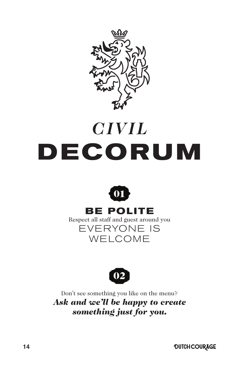

# *CIVIL* **DECORUM**



### **BE POLITE**

Respect all staff and guest around you EVERYONE IS WELCOME



Don't see something you like on the menu? *Ask and we'll be happy to create something just for you.*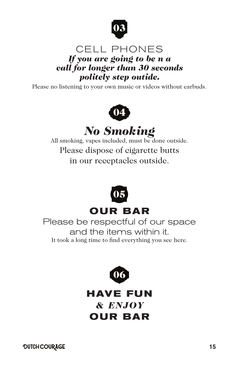

#### CELL PHONES *If you are going to be n a call for longer than 30 seconds politely step outide.*

Please no listening to your own music or videos without earbuds.



### *No Smoking*

All smoking, vapes included, must be done outside. Please dispose of cigarette butts in our receptacles outside.



Please be respectful of our space and the items within it. It took a long time to find everything you see here.



**HAVE FUN** *& ENJOY* **OUR BAR**